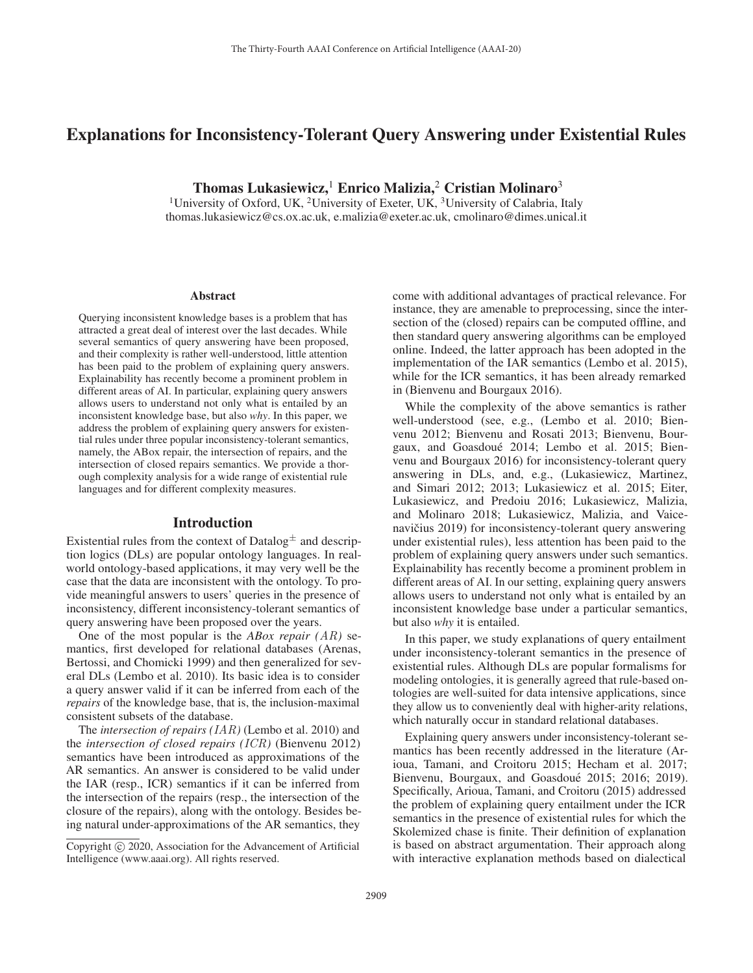# Explanations for Inconsistency-Tolerant Query Answering under Existential Rules

Thomas Lukasiewicz,<sup>1</sup> Enrico Malizia,<sup>2</sup> Cristian Molinaro<sup>3</sup>

<sup>1</sup>University of Oxford, UK, <sup>2</sup>University of Exeter, UK, <sup>3</sup>University of Calabria, Italy thomas.lukasiewicz@cs.ox.ac.uk, e.malizia@exeter.ac.uk, cmolinaro@dimes.unical.it

#### Abstract

Querying inconsistent knowledge bases is a problem that has attracted a great deal of interest over the last decades. While several semantics of query answering have been proposed, and their complexity is rather well-understood, little attention has been paid to the problem of explaining query answers. Explainability has recently become a prominent problem in different areas of AI. In particular, explaining query answers allows users to understand not only what is entailed by an inconsistent knowledge base, but also *why*. In this paper, we address the problem of explaining query answers for existential rules under three popular inconsistency-tolerant semantics, namely, the ABox repair, the intersection of repairs, and the intersection of closed repairs semantics. We provide a thorough complexity analysis for a wide range of existential rule languages and for different complexity measures.

#### Introduction

Existential rules from the context of Datalog $\pm$  and description logics (DLs) are popular ontology languages. In realworld ontology-based applications, it may very well be the case that the data are inconsistent with the ontology. To provide meaningful answers to users' queries in the presence of inconsistency, different inconsistency-tolerant semantics of query answering have been proposed over the years.

One of the most popular is the *ABox repair (AR)* semantics, first developed for relational databases (Arenas, Bertossi, and Chomicki 1999) and then generalized for several DLs (Lembo et al. 2010). Its basic idea is to consider a query answer valid if it can be inferred from each of the *repairs* of the knowledge base, that is, the inclusion-maximal consistent subsets of the database.

The *intersection of repairs (IAR)* (Lembo et al. 2010) and the *intersection of closed repairs (ICR)* (Bienvenu 2012) semantics have been introduced as approximations of the AR semantics. An answer is considered to be valid under the IAR (resp., ICR) semantics if it can be inferred from the intersection of the repairs (resp., the intersection of the closure of the repairs), along with the ontology. Besides being natural under-approximations of the AR semantics, they

come with additional advantages of practical relevance. For instance, they are amenable to preprocessing, since the intersection of the (closed) repairs can be computed offline, and then standard query answering algorithms can be employed online. Indeed, the latter approach has been adopted in the implementation of the IAR semantics (Lembo et al. 2015), while for the ICR semantics, it has been already remarked in (Bienvenu and Bourgaux 2016).

While the complexity of the above semantics is rather well-understood (see, e.g., (Lembo et al. 2010; Bienvenu 2012; Bienvenu and Rosati 2013; Bienvenu, Bourgaux, and Goasdoué 2014; Lembo et al. 2015; Bienvenu and Bourgaux 2016) for inconsistency-tolerant query answering in DLs, and, e.g., (Lukasiewicz, Martinez, and Simari 2012; 2013; Lukasiewicz et al. 2015; Eiter, Lukasiewicz, and Predoiu 2016; Lukasiewicz, Malizia, and Molinaro 2018; Lukasiewicz, Malizia, and Vaicenavičius 2019) for inconsistency-tolerant query answering under existential rules), less attention has been paid to the problem of explaining query answers under such semantics. Explainability has recently become a prominent problem in different areas of AI. In our setting, explaining query answers allows users to understand not only what is entailed by an inconsistent knowledge base under a particular semantics, but also *why* it is entailed.

In this paper, we study explanations of query entailment under inconsistency-tolerant semantics in the presence of existential rules. Although DLs are popular formalisms for modeling ontologies, it is generally agreed that rule-based ontologies are well-suited for data intensive applications, since they allow us to conveniently deal with higher-arity relations, which naturally occur in standard relational databases.

Explaining query answers under inconsistency-tolerant semantics has been recently addressed in the literature (Arioua, Tamani, and Croitoru 2015; Hecham et al. 2017; Bienvenu, Bourgaux, and Goasdoué 2015; 2016; 2019). Specifically, Arioua, Tamani, and Croitoru (2015) addressed the problem of explaining query entailment under the ICR semantics in the presence of existential rules for which the Skolemized chase is finite. Their definition of explanation is based on abstract argumentation. Their approach along with interactive explanation methods based on dialectical

Copyright  $\odot$  2020, Association for the Advancement of Artificial Intelligence (www.aaai.org). All rights reserved.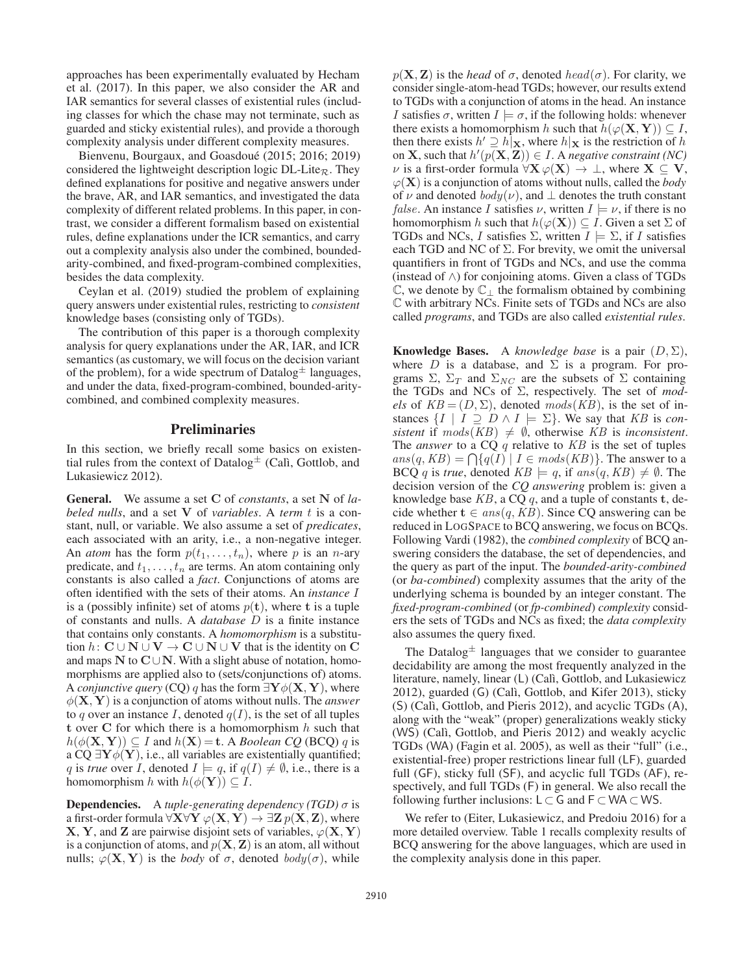approaches has been experimentally evaluated by Hecham et al. (2017). In this paper, we also consider the AR and IAR semantics for several classes of existential rules (including classes for which the chase may not terminate, such as guarded and sticky existential rules), and provide a thorough complexity analysis under different complexity measures.

Bienvenu, Bourgaux, and Goasdoué (2015; 2016; 2019) considered the lightweight description logic  $DL\text{-}Life_R$ . They defined explanations for positive and negative answers under the brave, AR, and IAR semantics, and investigated the data complexity of different related problems. In this paper, in contrast, we consider a different formalism based on existential rules, define explanations under the ICR semantics, and carry out a complexity analysis also under the combined, boundedarity-combined, and fixed-program-combined complexities, besides the data complexity.

Ceylan et al. (2019) studied the problem of explaining query answers under existential rules, restricting to *consistent* knowledge bases (consisting only of TGDs).

The contribution of this paper is a thorough complexity analysis for query explanations under the AR, IAR, and ICR semantics (as customary, we will focus on the decision variant of the problem), for a wide spectrum of Datalog $\pm$  languages, and under the data, fixed-program-combined, bounded-aritycombined, and combined complexity measures.

## **Preliminaries**

In this section, we briefly recall some basics on existential rules from the context of Datalog<sup> $\pm$ </sup> (Calì, Gottlob, and Lukasiewicz 2012).

General. We assume a set **C** of *constants*, a set **N** of *labeled nulls*, and a set **<sup>V</sup>** of *variables*. A *term* t is a constant, null, or variable. We also assume a set of *predicates*, each associated with an arity, i.e., a non-negative integer. An *atom* has the form  $p(t_1,...,t_n)$ , where p is an *n*-ary predicate, and  $t_1, \ldots, t_n$  are terms. An atom containing only constants is also called a *fact*. Conjunctions of atoms are often identified with the sets of their atoms. An *instance* I is a (possibly infinite) set of atoms  $p(t)$ , where **t** is a tuple of constants and nulls. A *database* D is a finite instance that contains only constants. A *homomorphism* is a substitution  $h: \mathbf{C} \cup \mathbf{N} \cup \mathbf{V} \rightarrow \mathbf{C} \cup \mathbf{N} \cup \mathbf{V}$  that is the identity on  $\mathbf{C}$ and maps  $N$  to  $C \cup N$ . With a slight abuse of notation, homomorphisms are applied also to (sets/conjunctions of) atoms. A *conjunctive query* (CQ) q has the form  $\exists Y \phi(X, Y)$ , where φ(**X**, **<sup>Y</sup>**) is a conjunction of atoms without nulls. The *answer* to q over an instance I, denoted  $q(I)$ , is the set of all tuples **<sup>t</sup>** over **<sup>C</sup>** for which there is a homomorphism h such that  $h(\phi(\mathbf{X}, \mathbf{Y})) \subseteq I$  and  $h(\mathbf{X}) = \mathbf{t}$ . A *Boolean CQ* (BCQ) q is a CQ  $\exists$ **Y** $\phi$ (**Y**), i.e., all variables are existentially quantified; q is *true* over I, denoted  $I \models q$ , if  $q(I) \neq \emptyset$ , i.e., there is a homomorphism h with  $h(\phi(\mathbf{Y})) \subseteq I$ .

Dependencies. <sup>A</sup> *tuple-generating dependency (TGD)* <sup>σ</sup> is a first-order formula  $\forall$ **X** $\forall$ **Y**  $\varphi$ (**X**, **Y**)  $\rightarrow \exists$ **Z**  $p$ (**X**, **Z**), where **X**, **Y**, and **Z** are pairwise disjoint sets of variables,  $\varphi$ (**X**, **Y**) is a conjunction of atoms, and  $p(X, Z)$  is an atom, all without nulls;  $\varphi(\mathbf{X}, \mathbf{Y})$  is the *body* of  $\sigma$ , denoted *body*( $\sigma$ ), while

 $p(X, Z)$  is the *head* of  $\sigma$ , denoted *head*( $\sigma$ ). For clarity, we consider single-atom-head TGDs; however, our results extend to TGDs with a conjunction of atoms in the head. An instance *I* satisfies  $\sigma$ , written  $I \models \sigma$ , if the following holds: whenever there exists a homomorphism h such that  $h(\varphi(\mathbf{X}, \mathbf{Y})) \subseteq I$ , then there exists  $h' \supseteq h|\mathbf{x}$ , where  $h|\mathbf{x}$  is the restriction of h<br>on **X** such that  $h'(n(\mathbf{X}|\mathbf{Z})) \in I$ . A negative constraint (NC) on **X**, such that  $h'(p(X, Z)) \in I$ . A *negative constraint (NC)*  $\nu$  is a first-order formula ∀**X**  $\varphi(X) \rightarrow \bot$  where **X** ⊂ **V**  $\nu$  is a first-order formula  $\forall$ **X**  $\varphi$ (**X**) → ⊥, where **X** ⊆ **V**,  $\varphi(\mathbf{X})$  is a conjunction of atoms without nulls, called the *body* of  $\nu$  and denoted  $body(\nu)$ , and  $\bot$  denotes the truth constant *false*. An instance I satisfies  $\nu$ , written  $I \models \nu$ , if there is no homomorphism h such that  $h(\varphi(\mathbf{X})) \subseteq I$ . Given a set  $\Sigma$  of TGDs and NCs, I satisfies  $\Sigma$ , written  $I \models \Sigma$ , if I satisfies each TGD and NC of  $\Sigma$ . For brevity, we omit the universal quantifiers in front of TGDs and NCs, and use the comma (instead of ∧) for conjoining atoms. Given a class of TGDs  $\mathbb{C}$ , we denote by  $\mathbb{C}$  the formalism obtained by combining C with arbitrary NCs. Finite sets of TGDs and NCs are also called *programs*, and TGDs are also called *existential rules*.

**Knowledge Bases.** A *knowledge base* is a pair  $(D, \Sigma)$ , where  $D$  is a database, and  $\Sigma$  is a program. For programs  $\Sigma$ ,  $\Sigma_T$  and  $\Sigma_{NC}$  are the subsets of  $\Sigma$  containing the TGDs and NCs of Σ, respectively. The set of *models* of  $KB = (D, \Sigma)$ , denoted  $mods(KB)$ , is the set of instances  $\{I \mid I \supseteq D \wedge I \models \Sigma\}$ . We say that *KB* is *consistent* if  $mods(KB) \neq \emptyset$ , otherwise *KB* is *inconsistent*. The *answer* to a CQ q relative to *KB* is the set of tuples  $ans(q, KB) = \bigcap \{q(I) | I \in mods(KB)\}.$  The answer to a **BCO** a is true denoted  $KB \models q$  if  $ans(q, KB) \neq \emptyset$  The BCQ q is *true*, denoted  $KB \models q$ , if  $ans(q, KB) \neq \emptyset$ . The decision version of the *CQ answering* problem is: given a knowledge base *KB*, a CQ q, and a tuple of constants **<sup>t</sup>**, decide whether  $\mathbf{t} \in ans(q, KB)$ . Since CQ answering can be reduced in LOGSPACE to BCQ answering, we focus on BCQs. Following Vardi (1982), the *combined complexity* of BCQ answering considers the database, the set of dependencies, and the query as part of the input. The *bounded-arity-combined* (or *ba-combined*) complexity assumes that the arity of the underlying schema is bounded by an integer constant. The *fixed-program-combined* (or *fp-combined*) *complexity* considers the sets of TGDs and NCs as fixed; the *data complexity* also assumes the query fixed.

The Datalog $\pm$  languages that we consider to guarantee decidability are among the most frequently analyzed in the literature, namely, linear (L) (Calì, Gottlob, and Lukasiewicz 2012), guarded (G) (Cal`ı, Gottlob, and Kifer 2013), sticky (S) (Cal`ı, Gottlob, and Pieris 2012), and acyclic TGDs (A), along with the "weak" (proper) generalizations weakly sticky (WS) (Calì, Gottlob, and Pieris 2012) and weakly acyclic TGDs (WA) (Fagin et al. 2005), as well as their "full" (i.e., existential-free) proper restrictions linear full (LF), guarded full (GF), sticky full (SF), and acyclic full TGDs (AF), respectively, and full TGDs (F) in general. We also recall the following further inclusions:  $L \subset G$  and  $F \subset WA \subset WS$ .

We refer to (Eiter, Lukasiewicz, and Predoiu 2016) for a more detailed overview. Table 1 recalls complexity results of BCQ answering for the above languages, which are used in the complexity analysis done in this paper.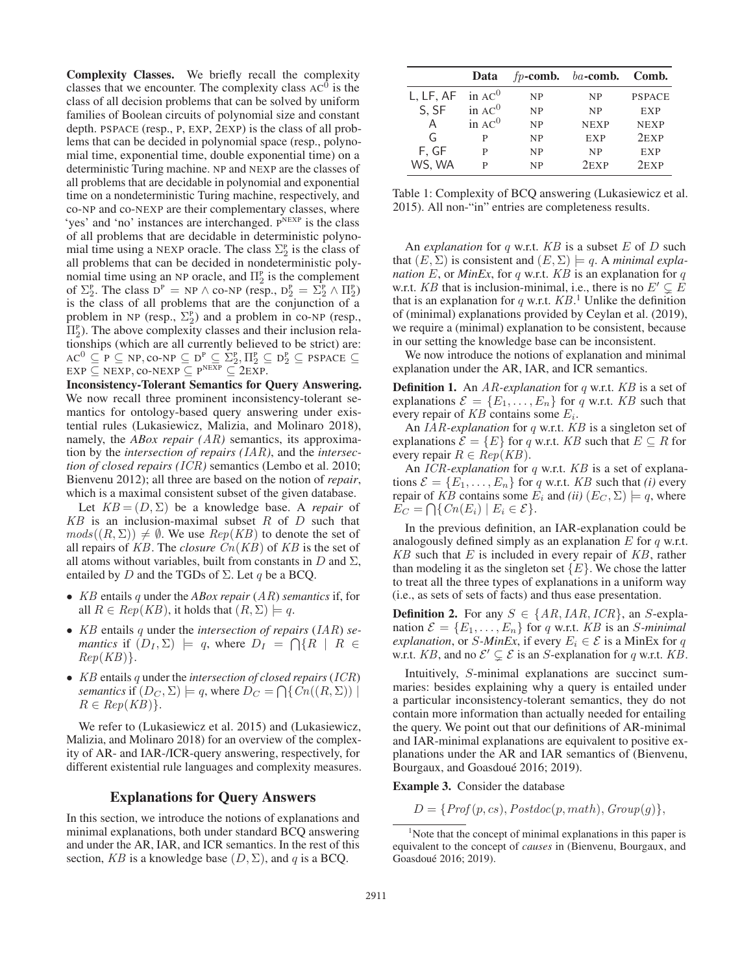Complexity Classes. We briefly recall the complexity classes that we encounter. The complexity class  $AC^0$  is the class of all decision problems that can be solved by uniform families of Boolean circuits of polynomial size and constant depth. PSPACE (resp., P, EXP, 2EXP) is the class of all problems that can be decided in polynomial space (resp., polynomial time, exponential time, double exponential time) on a deterministic Turing machine. NP and NEXP are the classes of all problems that are decidable in polynomial and exponential time on a nondeterministic Turing machine, respectively, and co-NP and co-NEXP are their complementary classes, where 'yes' and 'no' instances are interchanged. PNEXP is the class of all problems that are decidable in deterministic polynomial time using a NEXP oracle. The class  $\Sigma_2^{\rm p}$  is the class of all problems that can be decided in nondeterministic polynomial time using an NP oracle, and  $\Pi_2^{\text{p}}$  is the complement of  $\Sigma_2^{\text{P}}$ . The class  $D^{\text{P}} = NP \wedge co-NP$  (resp.,  $D_2^{\text{P}} = \Sigma_2^{\text{P}} \wedge \Pi_2^{\text{P}}$ ) is the class of all problems that are the conjunction of a problem in NP (resp.,  $\Sigma_2^P$ ) and a problem in co-NP (resp.,  $\Pi_2^{\text{P}}$ ). The above complexity classes and their inclusion relationships (which are all currently believed to be strict) are:  $AC^0 \subseteq P \subseteq NP$ ,  $co-NF \subseteq D^P \subseteq \Sigma_2^P$ ,  $\Pi_2^P \subseteq D_2^P \subseteq PSPACE \subseteq$ <br>  $EXP \subseteq NEXP$   $co-NEXP \subseteq P^{NEXP} \subseteq 2EXP$  $EXP \subseteq NEXT$ , CO-NEXP  $\subseteq P^{NEXP} \subseteq 2EXP$ .

Inconsistency-Tolerant Semantics for Query Answering. We now recall three prominent inconsistency-tolerant semantics for ontology-based query answering under existential rules (Lukasiewicz, Malizia, and Molinaro 2018), namely, the *ABox repair (AR)* semantics, its approximation by the *intersection of repairs (IAR)*, and the *intersection of closed repairs (ICR)* semantics (Lembo et al. 2010; Bienvenu 2012); all three are based on the notion of *repair*, which is a maximal consistent subset of the given database.

Let  $KB = (D, \Sigma)$  be a knowledge base. A *repair* of  $KB$  is an inclusion-maximal subset  $R$  of  $D$  such that  $mods((R, \Sigma)) \neq \emptyset$ . We use  $Rep(KB)$  to denote the set of all repairs of *KB*. The *closure Cn*(*KB*) of *KB* is the set of all atoms without variables, built from constants in  $D$  and  $\Sigma$ , entailed by D and the TGDs of  $\Sigma$ . Let q be a BCQ.

- *KB* entails q under the *ABox repair* (*AR*) *semantics* if, for all  $R \in Rep(KB)$ , it holds that  $(R, \Sigma) \models q$ .
- *KB* entails <sup>q</sup> under the *intersection of repairs* (*IAR*) *semantics* if  $(D_I, \Sigma) \models q$ , where  $D_I = \bigcap \{R \mid R \in \mathbb{R}^p | R(R) \}$ *Rep*(*KB*)}.
- *KB* entails q under the *intersection of closed repairs* (*ICR*) *semantics* if  $(D_C, \Sigma) \models q$ , where  $D_C = \bigcap \{ Cn((R, \Sigma)) \mid R \in Ren(KB) \}$  $R \in Rep(KB)$ .

We refer to (Lukasiewicz et al. 2015) and (Lukasiewicz, Malizia, and Molinaro 2018) for an overview of the complexity of AR- and IAR-/ICR-query answering, respectively, for different existential rule languages and complexity measures.

### Explanations for Query Answers

In this section, we introduce the notions of explanations and minimal explanations, both under standard BCQ answering and under the AR, IAR, and ICR semantics. In the rest of this section, *KB* is a knowledge base  $(D, \Sigma)$ , and q is a BCQ.

|                     | Data      |           | $fp$ -comb. ba-comb. Comb. |               |
|---------------------|-----------|-----------|----------------------------|---------------|
| L, LF, AF in $AC^0$ |           | <b>NP</b> | <b>NP</b>                  | <b>PSPACE</b> |
| S, SF               | in $AC0$  | <b>NP</b> | <b>NP</b>                  | <b>EXP</b>    |
| Α                   | in $AC^0$ | <b>NP</b> | <b>NEXP</b>                | <b>NEXP</b>   |
| G                   | P         | <b>NP</b> | <b>EXP</b>                 | $2$ EXP       |
| F, GF               | P         | <b>NP</b> | <b>NP</b>                  | <b>EXP</b>    |
| WS, WA              | P         | <b>NP</b> | $2$ EXP                    | $2$ EXP       |

Table 1: Complexity of BCQ answering (Lukasiewicz et al. 2015). All non-"in" entries are completeness results.

An *explanation* for q w.r.t. *KB* is a subset E of D such that  $(E, \Sigma)$  is consistent and  $(E, \Sigma) \models q$ . A *minimal explanation*  $E$ , or *MinEx*, for  $q$  w.r.t.  $KB$  is an explanation for  $q$ w.r.t. *KB* that is inclusion-minimal, i.e., there is no  $E' \subsetneq$ <br>that is an explanation for a w r t  $KR<sup>1</sup>$  Unlike the definition that is an explanation for q w.r.t.  $KB$ <sup>1</sup>. Unlike the definition<br>of (minimal) explanations provided by Cevlan et al. (2019) of (minimal) explanations provided by Ceylan et al. (2019), we require a (minimal) explanation to be consistent, because in our setting the knowledge base can be inconsistent.

We now introduce the notions of explanation and minimal explanation under the AR, IAR, and ICR semantics.

Definition 1. An *AR-explanation* for <sup>q</sup> w.r.t. *KB* is a set of explanations  $\mathcal{E} = \{E_1, \ldots, E_n\}$  for q w.r.t. *KB* such that every repair of  $KB$  contains some  $E_i$ .

An *IAR-explanation* for q w.r.t. *KB* is a singleton set of explanations  $\mathcal{E} = \{E\}$  for q w.r.t. *KB* such that  $E \subseteq R$  for every repair  $R \in Rep(KB)$ .

An *ICR-explanation* for q w.r.t. *KB* is a set of explanations  $\mathcal{E} = \{E_1, \ldots, E_n\}$  for q w.r.t. *KB* such that *(i)* every repair of *KB* contains some  $E_i$  and *(ii)*  $(E_C, \Sigma) \models q$ , where  $E_C = \bigcap \{ Cn(E_i) \mid E_i \in \mathcal{E} \}.$ 

In the previous definition, an IAR-explanation could be analogously defined simply as an explanation  $E$  for  $q$  w.r.t. *KB* such that E is included in every repair of *KB*, rather than modeling it as the singleton set  $\{E\}$ . We chose the latter to treat all the three types of explanations in a uniform way (i.e., as sets of sets of facts) and thus ease presentation.

**Definition 2.** For any  $S \in \{AR, IAR, ICR\}$ , an S-explanation  $\mathcal{E} = \{E_1, \ldots, E_n\}$  for q w.r.t. *KB* is an *S*-minimal *explanation*, or *S*-*MinEx*, if every  $E_i \in \mathcal{E}$  is a MinEx for q w.r.t. *KB*, and no  $\mathcal{E}' \subsetneq \mathcal{E}$  is an *S*-explanation for q w.r.t. *KB*.

Intuitively, S-minimal explanations are succinct summaries: besides explaining why a query is entailed under a particular inconsistency-tolerant semantics, they do not contain more information than actually needed for entailing the query. We point out that our definitions of AR-minimal and IAR-minimal explanations are equivalent to positive explanations under the AR and IAR semantics of (Bienvenu, Bourgaux, and Goasdoué 2016; 2019).

Example 3. Consider the database

 $D = \{Prof(p, cs), Postdoc(p, math), Group(q) \},\$ 

<sup>&</sup>lt;sup>1</sup>Note that the concept of minimal explanations in this paper is equivalent to the concept of *causes* in (Bienvenu, Bourgaux, and Goasdoué 2016; 2019).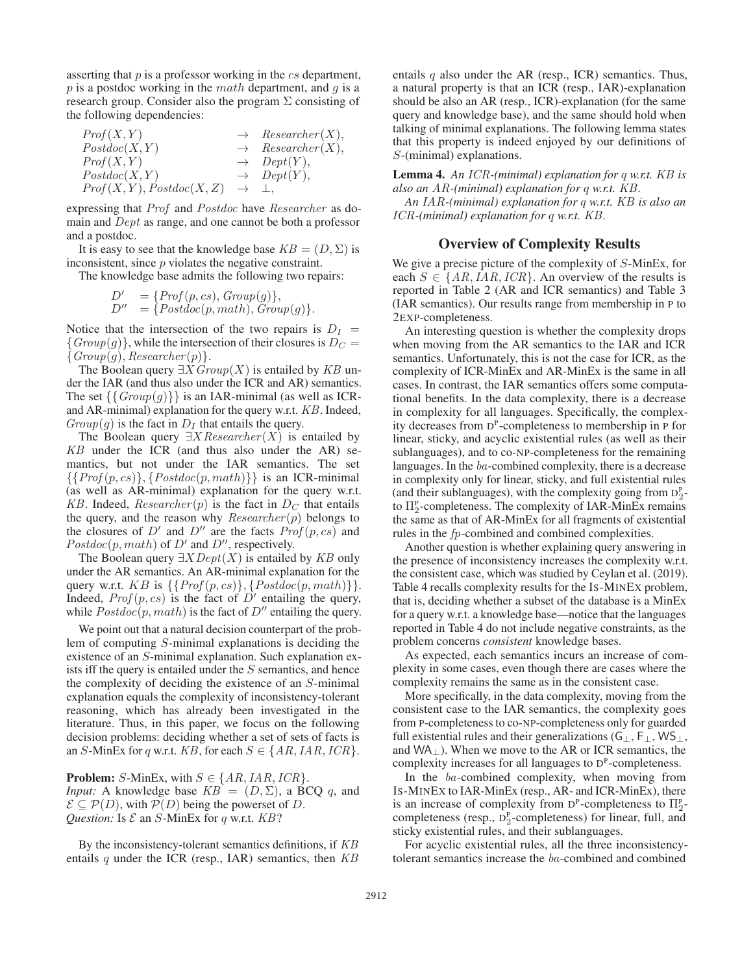asserting that  $p$  is a professor working in the  $cs$  department,  $p$  is a postdoc working in the *math* department, and  $q$  is a research group. Consider also the program  $\Sigma$  consisting of the following dependencies:

| Prof(X, Y)                                    | $\rightarrow$ Researcher(X), |
|-----------------------------------------------|------------------------------|
| Postdoc(X, Y)                                 | $\rightarrow$ Researcher(X), |
| Prof(X, Y)                                    | $\rightarrow$ $Depth(Y),$    |
| Postdoc(X, Y)                                 | $\rightarrow$ Dept(Y),       |
| $Prof(X, Y), Postdoc(X, Z) \rightarrow \bot,$ |                              |
|                                               |                              |

expressing that *Prof* and *Postdoc* have *Researcher* as domain and *Dept* as range, and one cannot be both a professor and a postdoc.

It is easy to see that the knowledge base  $KB = (D, \Sigma)$  is inconsistent, since  $p$  violates the negative constraint.

The knowledge base admits the following two repairs:

$$
D' = \{Prof(p, cs), Group(g) \},
$$
  

$$
D'' = \{ Postdoc(p, math), Group(g) \}.
$$

Notice that the intersection of the two repairs is  $D_I = \{Group(a)\}\$  while the intersection of their closures is  $D_C =$  ${Group(g)}$ , while the intersection of their closures is  $D<sub>C</sub>$  ${Group(g), Researcher(p)}.$ 

The Boolean query <sup>∃</sup>X*Group*(X) is entailed by *KB* under the IAR (and thus also under the ICR and AR) semantics. The set  $\{\{Group(g)\}\}\$ is an IAR-minimal (as well as ICRand AR-minimal) explanation for the query w.r.t. *KB*. Indeed,  $Group(g)$  is the fact in  $D<sub>I</sub>$  that entails the query.

The Boolean query <sup>∃</sup>X*Researcher* (X) is entailed by *KB* under the ICR (and thus also under the AR) semantics, but not under the IAR semantics. The set  $\{\{Prof(p, cs)\}, \{Postdoc(p, math)\}\}\$ is an ICR-minimal (as well as AR-minimal) explanation for the query w.r.t. *KB*. Indeed, *Researcher*(*p*) is the fact in  $D_C$  that entails the query, and the reason why *Researcher*(*p*) belongs to the query, and the reason why *Researcher* (p) belongs to the closures of  $D'$  and  $D''$  are the facts *Prof* (p cs) and the closures of D' and D'' are the facts  $Prof(p, cs)$  and  $Postdoc(p, math)$  of D' and D'' respectively  $Postdoc(p, math)$  of D' and D'', respectively.<br>The Boolean query  $\exists X \text{Det}(X)$  is entailed

The Boolean query <sup>∃</sup>X*Dept*(X) is entailed by *KB* only under the AR semantics. An AR-minimal explanation for the query w.r.t.  $KB$  is  $\{\{Prof(p, cs)\}, \{Postdoc(p, math)\}\}.$ Indeed,  $Prof(p, cs)$  is the fact of  $D'$  entailing the query, while  $Postdoc(p, math)$  is the fact of  $D''$  entailing the query while  $Postdoc(p, math)$  is the fact of  $D''$  entailing the query.

We point out that a natural decision counterpart of the problem of computing S-minimal explanations is deciding the existence of an S-minimal explanation. Such explanation exists iff the query is entailed under the S semantics, and hence the complexity of deciding the existence of an S-minimal explanation equals the complexity of inconsistency-tolerant reasoning, which has already been investigated in the literature. Thus, in this paper, we focus on the following decision problems: deciding whether a set of sets of facts is an S-MinEx for q w.r.t.  $KB$ , for each  $S \in \{AR, IAR, ICR\}$ .

**Problem:** S-MinEx, with  $S \in \{AR, IAR, ICR\}$ . *Input:* A knowledge base  $KB = (D, \Sigma)$ , a BCQ q, and  $\mathcal{E} \subseteq \mathcal{P}(D)$ , with  $\mathcal{P}(D)$  being the powerset of D. *Question:* Is  $\mathcal E$  an  $S$ -MinEx for q w.r.t.  $KB$ ?

By the inconsistency-tolerant semantics definitions, if *KB* entails q under the ICR (resp., IAR) semantics, then *KB*

entails  $q$  also under the AR (resp., ICR) semantics. Thus, a natural property is that an ICR (resp., IAR)-explanation should be also an AR (resp., ICR)-explanation (for the same query and knowledge base), and the same should hold when talking of minimal explanations. The following lemma states that this property is indeed enjoyed by our definitions of S-(minimal) explanations.

## Lemma 4. *An ICR-(minimal) explanation for* <sup>q</sup> *w.r.t. KB is also an AR-(minimal) explanation for* q *w.r.t. KB.*

*An IAR-(minimal) explanation for* q *w.r.t. KB is also an ICR-(minimal) explanation for* q *w.r.t. KB.*

#### Overview of Complexity Results

We give a precise picture of the complexity of S-MinEx, for each  $S \in \{AR, IAR, ICR\}$ . An overview of the results is reported in Table 2 (AR and ICR semantics) and Table 3 (IAR semantics). Our results range from membership in P to 2EXP-completeness.

An interesting question is whether the complexity drops when moving from the AR semantics to the IAR and ICR semantics. Unfortunately, this is not the case for ICR, as the complexity of ICR-MinEx and AR-MinEx is the same in all cases. In contrast, the IAR semantics offers some computational benefits. In the data complexity, there is a decrease in complexity for all languages. Specifically, the complexity decreases from  $D^P$ -completeness to membership in P for linear, sticky, and acyclic existential rules (as well as their sublanguages), and to co-NP-completeness for the remaining languages. In the *ba*-combined complexity, there is a decrease in complexity only for linear, sticky, and full existential rules (and their sublanguages), with the complexity going from  $D_2^P$ to  $\Pi_2^{\rm p}$ -completeness. The complexity of IAR-MinEx remains the same as that of AR-MinEx for all fragments of existential rules in the *fp*-combined and combined complexities.

Another question is whether explaining query answering in the presence of inconsistency increases the complexity w.r.t. the consistent case, which was studied by Ceylan et al. (2019). Table 4 recalls complexity results for the IS-MINEX problem, that is, deciding whether a subset of the database is a MinEx for a query w.r.t. a knowledge base—notice that the languages reported in Table 4 do not include negative constraints, as the problem concerns *consistent* knowledge bases.

As expected, each semantics incurs an increase of complexity in some cases, even though there are cases where the complexity remains the same as in the consistent case.

More specifically, in the data complexity, moving from the consistent case to the IAR semantics, the complexity goes from P-completeness to co-NP-completeness only for guarded full existential rules and their generalizations ( $G_{\perp}$ ,  $F_{\perp}$ , WS<sub>⊥</sub>, and  $WA_{\perp}$ ). When we move to the AR or ICR semantics, the complexity increases for all languages to  $D<sup>P</sup>$ -completeness.

In the *ba*-combined complexity, when moving from IS-MINEX to IAR-MinEx (resp., AR- and ICR-MinEx), there is an increase of complexity from  $D^P$ -completeness to  $\Pi_2^P$ completeness (resp.,  $D_2^P$ -completeness) for linear, full, and sticky existential rules, and their sublanguages.

For acyclic existential rules, all the three inconsistencytolerant semantics increase the *ba*-combined and combined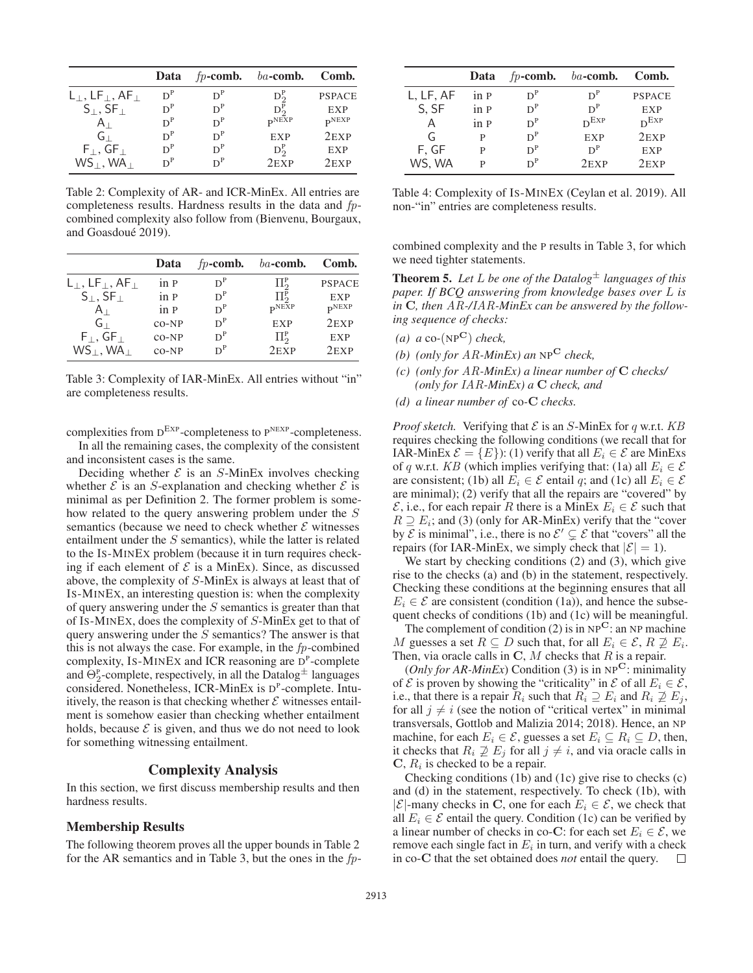|                                             | Data  | $fp$ -comb. | $ba$ -comb.       | Comb.             |
|---------------------------------------------|-------|-------------|-------------------|-------------------|
| $L_{\perp}$ , LF $_{\perp}$ , AF $_{\perp}$ | $D^P$ | $D^P$       | $D_2^P$           | <b>PSPACE</b>     |
| $S_{\perp}$ , SF $_{\perp}$                 | $D^P$ | $D^P$       | $D_2^P$           | <b>EXP</b>        |
| $A_{\perp}$                                 | $D^P$ | $D^P$       | $\mathbf{p}$ NEXP | $\mathbf{p}$ NEXP |
| $G_{\perp}$                                 | $D^P$ | $D^P$       | <b>EXP</b>        | $2$ EXP           |
| $F_{\perp}$ , GF <sub>+</sub>               | $D^P$ | $D^P$       | $D_2^P$           | <b>EXP</b>        |
| $WS_{\perp}$ , WA $\perp$                   | $D^P$ | $D^P$       | $2$ EXP           | $2$ EXP           |

Table 2: Complexity of AR- and ICR-MinEx. All entries are completeness results. Hardness results in the data and *fp*combined complexity also follow from (Bienvenu, Bourgaux, and Goasdoué 2019).

|                                                | Data    | $fp$ -comb. | $ba$ -comb.           | Comb.             |
|------------------------------------------------|---------|-------------|-----------------------|-------------------|
| $L_{\perp}$ , LF $_{\perp}$ , AF $_{\perp}$    | in P    | $D^P$       | $\Pi^{\rm p}_{\rm o}$ | <b>PSPACE</b>     |
| $S_{\perp}$ , SF $_{\perp}$                    | in P    | $D^P$       | $\Pi^{\rm p}_{\rm o}$ | <b>EXP</b>        |
| $A_{\perp}$                                    | in P    | $D^P$       | $\mathbf{p}$ NEXP     | $\mathbf{p}$ NEXP |
| G L                                            | $CO-NP$ | $D^P$       | <b>EXP</b>            | $2$ EXP           |
| $F_{\perp}$ , GF <sub><math>\perp</math></sub> | $CO-NP$ | $D^P$       | $\Pi^{\rm p}_{\rm o}$ | <b>EXP</b>        |
| $WS_1, WA_1$                                   | $CO-NP$ | $D^P$       | $2$ EXP               | $2$ EXP           |

Table 3: Complexity of IAR-MinEx. All entries without "in" are completeness results.

complexities from  $D^{EXP}$ -completeness to  $P^{NEXP}$ -completeness.

In all the remaining cases, the complexity of the consistent and inconsistent cases is the same.

Deciding whether  $\mathcal E$  is an S-MinEx involves checking whether  $\mathcal E$  is an S-explanation and checking whether  $\mathcal E$  is minimal as per Definition 2. The former problem is somehow related to the query answering problem under the S semantics (because we need to check whether  $\mathcal E$  witnesses entailment under the  $S$  semantics), while the latter is related to the IS-MINEX problem (because it in turn requires checking if each element of  $\mathcal E$  is a MinEx). Since, as discussed above, the complexity of S-MinEx is always at least that of IS-MINEX, an interesting question is: when the complexity of query answering under the  $S$  semantics is greater than that of IS-MINEX, does the complexity of S-MinEx get to that of query answering under the S semantics? The answer is that this is not always the case. For example, in the *fp*-combined complexity, IS-MINEX and ICR reasoning are  $D^P$ -complete and  $\Theta_2^{\rm p}$ -complete, respectively, in all the Datalog $^{\pm}$  languages considered. Nonetheless, ICR-MinEx is D<sup>P</sup>-complete. Intuitively, the reason is that checking whether  $\mathcal E$  witnesses entailment is somehow easier than checking whether entailment holds, because  $\mathcal E$  is given, and thus we do not need to look for something witnessing entailment.

## Complexity Analysis

In this section, we first discuss membership results and then hardness results.

## Membership Results

The following theorem proves all the upper bounds in Table 2 for the AR semantics and in Table 3, but the ones in the *fp*-

|           | Data | $fp$ -comb. | $ba$ -comb. | Comb.         |
|-----------|------|-------------|-------------|---------------|
| L, LF, AF | in P | $D^P$       | $D^P$       | <b>PSPACE</b> |
| S, SF     | in P | $D^P$       | $D^P$       | <b>EXP</b>    |
| Α         | in P | $D^P$       | $D^{EXP}$   | $D^{EXP}$     |
| G         | P    | $D^P$       | <b>EXP</b>  | $2$ EXP       |
| F, GF     | P    | $D^P$       | $D^P$       | <b>EXP</b>    |
| WS, WA    | P    | $D^P$       | $2$ EXP     | $2$ EXP       |

Table 4: Complexity of IS-MINEX (Ceylan et al. 2019). All non-"in" entries are completeness results.

combined complexity and the P results in Table 3, for which we need tighter statements.

Theorem 5. *Let* L *be one of the Datalog*<sup>±</sup> *languages of this paper. If BCQ answering from knowledge bases over* L *is in* **C***, then AR-/IAR-MinEx can be answered by the following sequence of checks:*

- *(a) a* co*-*(NP**C**) *check,*
- *(b) (only for AR-MinEx) an* NP**<sup>C</sup>** *check,*
- *(c) (only for AR-MinEx) a linear number of* **C** *checks/ (only for IAR-MinEx) a* **C** *check, and*
- *(d) a linear number of* co*-***C** *checks.*

*Proof sketch.* Verifying that  $\mathcal E$  is an S-MinEx for q w.r.t.  $KB$ requires checking the following conditions (we recall that for IAR-MinEx  $\mathcal{E} = \{E\}$ : (1) verify that all  $E_i \in \mathcal{E}$  are MinExs of q w.r.t. *KB* (which implies verifying that: (1a) all  $E_i \in \mathcal{E}$ are consistent; (1b) all  $E_i \in \mathcal{E}$  entail q; and (1c) all  $E_i \in \mathcal{E}$ are minimal); (2) verify that all the repairs are "covered" by  $\mathcal{E}$ , i.e., for each repair R there is a MinEx  $E_i \in \mathcal{E}$  such that  $R \supseteq E_i$ ; and (3) (only for AR-MinEx) verify that the "cover by  $\mathcal E$  is minimal", i.e., there is no  $\mathcal E' \subsetneq \mathcal E$  that "covers" all the repairs (for IAR-MinEx, we simply check that  $|\mathcal{E}| = 1$ ).

We start by checking conditions (2) and (3), which give rise to the checks (a) and (b) in the statement, respectively. Checking these conditions at the beginning ensures that all  $E_i \in \mathcal{E}$  are consistent (condition (1a)), and hence the subsequent checks of conditions (1b) and (1c) will be meaningful.

The complement of condition (2) is in  $NP<sup>C</sup>$ : an NP machine M guesses a set  $R \subseteq D$  such that, for all  $E_i \in \mathcal{E}, R \not\supseteq E_i$ . Then, via oracle calls in **<sup>C</sup>**, M checks that R is a repair.

(*Only for AR-MinEx*) Condition (3) is in  $NP<sup>C</sup>$ : minimality of  $\mathcal E$  is proven by showing the "criticality" in  $\mathcal E$  of all  $E_i \in \mathcal E$ , i.e., that there is a repair  $R_i$  such that  $R_i \supseteq E_i$  and  $R_i \not\supseteq E_i$ , for all  $j \neq i$  (see the notion of "critical vertex" in minimal transversals, Gottlob and Malizia 2014; 2018). Hence, an NP machine, for each  $E_i \in \mathcal{E}$ , guesses a set  $E_i \subseteq R_i \subseteq D$ , then, it checks that  $R_i \not\supseteq E_j$  for all  $j \neq i$ , and via oracle calls in  $C, R<sub>i</sub>$  is checked to be a repair.

Checking conditions (1b) and (1c) give rise to checks (c) and (d) in the statement, respectively. To check (1b), with  $|\mathcal{E}|$ -many checks in **C**, one for each  $E_i \in \mathcal{E}$ , we check that all  $E_i \in \mathcal{E}$  entail the query. Condition (1c) can be verified by a linear number of checks in co-**C**: for each set  $E_i \in \mathcal{E}$ , we remove each single fact in  $E_i$  in turn, and verify with a check in co-C that the set obtained does *not* entail the query.  $\square$ in co-**C** that the set obtained does *not* entail the query.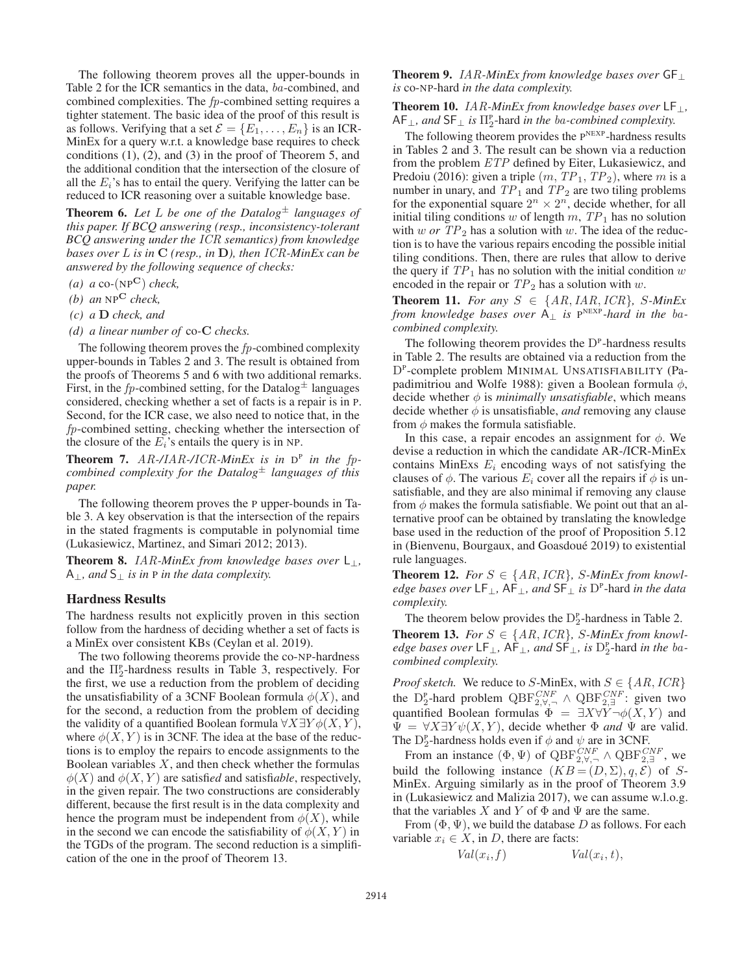The following theorem proves all the upper-bounds in Table 2 for the ICR semantics in the data, *ba*-combined, and combined complexities. The *fp*-combined setting requires a tighter statement. The basic idea of the proof of this result is as follows. Verifying that a set  $\mathcal{E} = \{E_1, \ldots, E_n\}$  is an ICR-MinEx for a query w.r.t. a knowledge base requires to check conditions (1), (2), and (3) in the proof of Theorem 5, and the additional condition that the intersection of the closure of all the  $E_i$ 's has to entail the query. Verifying the latter can be reduced to ICR reasoning over a suitable knowledge base.

**Theorem 6.** Let L be one of the Datalog<sup> $\pm$ </sup> languages of *this paper. If BCQ answering (resp., inconsistency-tolerant BCQ answering under the ICR semantics) from knowledge bases over* L *is in* **<sup>C</sup>** *(resp., in* **<sup>D</sup>***), then ICR-MinEx can be answered by the following sequence of checks:*

- *(a) a* co*-*(NP**C**) *check,*
- *(b) an* NP**<sup>C</sup>** *check,*
- *(c) a* **D** *check, and*
- *(d) a linear number of* co*-***C** *checks.*

The following theorem proves the *fp*-combined complexity upper-bounds in Tables 2 and 3. The result is obtained from the proofs of Theorems 5 and 6 with two additional remarks. First, in the  $fp$ -combined setting, for the Datalog<sup> $\pm$ </sup> languages considered, checking whether a set of facts is a repair is in P. Second, for the ICR case, we also need to notice that, in the *fp*-combined setting, checking whether the intersection of the closure of the  $E_i$ 's entails the query is in NP.

**Theorem 7.** AR-/*IAR*-/*ICR*-*MinEx is in*  $D^P$  *in the fpcombined complexity for the Datalog*<sup>±</sup> *languages of this paper.*

The following theorem proves the P upper-bounds in Table 3. A key observation is that the intersection of the repairs in the stated fragments is computable in polynomial time (Lukasiewicz, Martinez, and Simari 2012; 2013).

Theorem 8. *IAR-MinEx from knowledge bases over*  $L_{\perp}$ , A⊥*, and* S<sup>⊥</sup> *is in* <sup>P</sup> *in the data complexity.*

#### Hardness Results

The hardness results not explicitly proven in this section follow from the hardness of deciding whether a set of facts is a MinEx over consistent KBs (Ceylan et al. 2019).

The two following theorems provide the co-NP-hardness and the  $\Pi_2^{\rm p}$ -hardness results in Table 3, respectively. For the first, we use a reduction from the problem of deciding the unsatisfiability of a 3CNF Boolean formula  $\phi(X)$ , and for the second, a reduction from the problem of deciding the validity of a quantified Boolean formula  $\forall X \exists Y \phi(X, Y)$ , where  $\phi(X, Y)$  is in 3CNF. The idea at the base of the reductions is to employ the repairs to encode assignments to the Boolean variables  $X$ , and then check whether the formulas  $\phi(X)$  and  $\phi(X, Y)$  are satisfied and satisfiable, respectively, in the given repair. The two constructions are considerably different, because the first result is in the data complexity and hence the program must be independent from  $\phi(X)$ , while in the second we can encode the satisfiability of  $\phi(X, Y)$  in the TGDs of the program. The second reduction is a simplification of the one in the proof of Theorem 13.

## Theorem 9. *IAR-MinEx from knowledge bases over* GF<sup>⊥</sup> *is* co-NP-hard *in the data complexity.*

Theorem 10. *IAR-MinEx from knowledge bases over* LF⊥*,*  $AF_{\perp}$ , and  $SF_{\perp}$  *is*  $\Pi_2^{\text{p}}$ -hard *in the ba-combined complexity.* 

The following theorem provides the  $P<sup>NEXP</sup>$ -hardness results in Tables 2 and 3. The result can be shown via a reduction from the problem *ETP* defined by Eiter, Lukasiewicz, and Predoiu (2016): given a triple  $(m, TP_1, TP_2)$ , where m is a number in unary, and  $TP_1$  and  $TP_2$  are two tiling problems for the exponential square  $2^n \times 2^n$ , decide whether, for all initial tiling conditions w of length  $m$ ,  $TP_1$  has no solution with  $w$  or  $TP_2$  has a solution with  $w$ . The idea of the reduction is to have the various repairs encoding the possible initial tiling conditions. Then, there are rules that allow to derive the query if  $TP_1$  has no solution with the initial condition w encoded in the repair or  $TP_2$  has a solution with w.

**Theorem 11.** *For any*  $S \in \{AR, IAR, ICR\}$ , *S-MinEx from knowledge bases over*  $A_{\perp}$  *is*  $P^{NEXP}$ *-hard in the bacombined complexity.*

The following theorem provides the  $D^P$ -hardness results in Table 2. The results are obtained via a reduction from the DP-complete problem MINIMAL UNSATISFIABILITY (Papadimitriou and Wolfe 1988): given a Boolean formula  $\phi$ , decide whether  $\phi$  is *minimally unsatisfiable*, which means decide whether  $\phi$  is unsatisfiable, *and* removing any clause from  $\phi$  makes the formula satisfiable.

In this case, a repair encodes an assignment for  $\phi$ . We devise a reduction in which the candidate AR-/ICR-MinEx contains MinExs  $E_i$  encoding ways of not satisfying the clauses of  $\phi$ . The various  $E_i$  cover all the repairs if  $\phi$  is unsatisfiable, and they are also minimal if removing any clause from  $\phi$  makes the formula satisfiable. We point out that an alternative proof can be obtained by translating the knowledge base used in the reduction of the proof of Proposition 5.12 in (Bienvenu, Bourgaux, and Goasdoué 2019) to existential rule languages.

**Theorem 12.** For  $S \in \{AR, ICR\}$ , S-MinEx from knowl*edge bases over* LF⊥*,* AF⊥*, and* SF<sup>⊥</sup> *is* DP-hard *in the data complexity.*

The theorem below provides the  $D_2^P$ -hardness in Table 2. **Theorem 13.** *For S* ∈ { $AR, ICR$ }, *S*-*MinEx from knowledge bases over* LF<sub>⊥</sub>,  $AF_\perp$ , *and* SF<sub>⊥</sub>, *is* D<sub>2</sub><sup>-</sup>hard *in the bacombined complexity.*

*Proof sketch.* We reduce to S-MinEx, with  $S \in \{AR, ICR\}$ <br>
the D<sub>2</sub>-hard problem  $QBF_{2,\forall,-}^{CNF} \wedge QBF_{2,\exists}^{CNF}$ : given two quantified Boolean formulas  $\Phi = \exists X \forall Y \neg \phi(X, Y)$  and  $\Psi = \forall X \exists Y \psi(X, Y)$  decide whether  $\Phi$  and  $\Psi$  are valid  $\Psi = \forall X \exists Y \psi(X, Y)$ , decide whether  $\Phi$  *and*  $\Psi$  are valid. The D<sup>p</sup>-hardness holds even if  $\phi$  and  $\psi$  are in 3CNF.<br>From an instance  $(\Phi, \Psi)$  of  $OBE^{CNF}$   $\wedge OBE^{C}$ .

From an instance  $(\Phi, \Psi)$  of  $QBF_{2,\forall}^{CNF} \wedge QBF_{2,\exists}^{CNF}$ , we identify the following instance  $(KB - (D, \Sigma), g, \mathcal{E})$  of S. build the following instance  $(KB = (D, \Sigma), q, \vec{\mathcal{E}})$  of S-MinEx. Arguing similarly as in the proof of Theorem 3.9 in (Lukasiewicz and Malizia 2017), we can assume w.l.o.g. that the variables X and Y of  $\Phi$  and  $\Psi$  are the same.

From  $(\Phi, \Psi)$ , we build the database D as follows. For each variable  $x_i \in X$ , in D, there are facts:

$$
Val(x_i, f) \t Val(x_i, t),
$$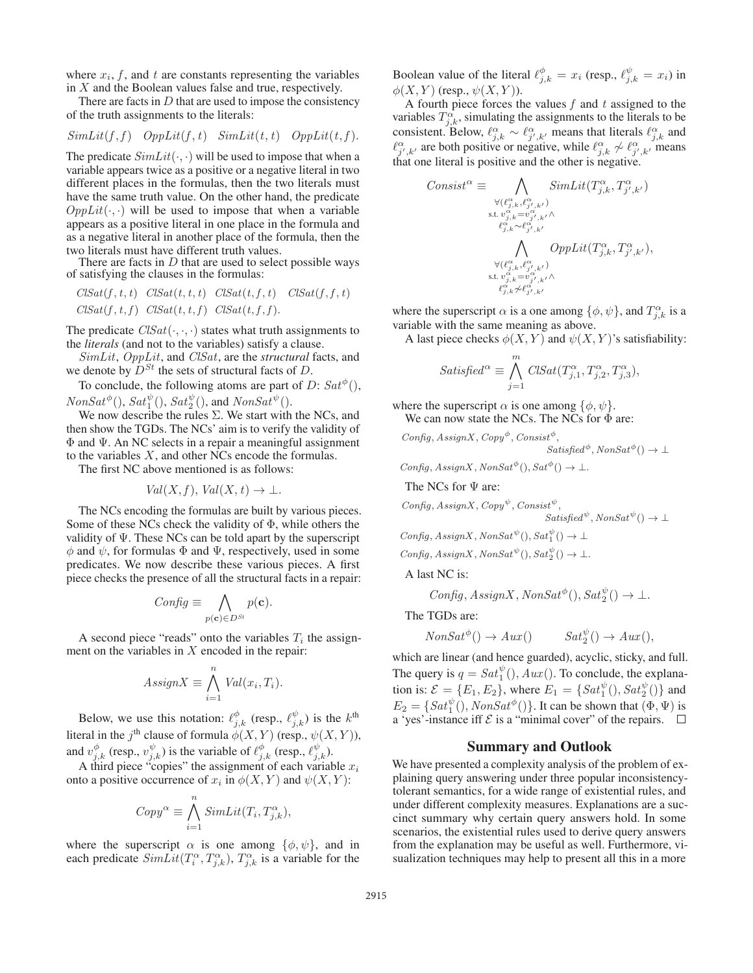where  $x_i$ ,  $f$ , and  $t$  are constants representing the variables in  $X$  and the Boolean values false and true, respectively.

There are facts in  $D$  that are used to impose the consistency of the truth assignments to the literals:

$$
SimLit(f, f) \quad OppLit(f, t) \quad SimLit(t, t) \quad OppLit(t, f).
$$

The predicate  $SimLit(\cdot, \cdot)$  will be used to impose that when a variable appears twice as a positive or a negative literal in two different places in the formulas, then the two literals must have the same truth value. On the other hand, the predicate  $OppLit(\cdot, \cdot)$  will be used to impose that when a variable appears as a positive literal in one place in the formula and as a negative literal in another place of the formula, then the two literals must have different truth values.

There are facts in  $D$  that are used to select possible ways of satisfying the clauses in the formulas:

$$
ClSat(f, t, t) \quad ClSat(t, t, t) \quad ClSat(t, f, t) \quad ClSat(f, f, t)
$$

$$
ClSat(f, t, f) \quad ClSat(t, t, f) \quad ClSat(t, f, f).
$$

The predicate  $\text{ClSat}(\cdot, \cdot, \cdot)$  states what truth assignments to the *literals* (and not to the variables) satisfy a clause.

*SimLit*, *OppLit*, and *ClSat*, are the *structural* facts, and we denote by  $D^{St}$  the sets of structural facts of D.

To conclude, the following atoms are part of  $D$ :  $Sat^{\phi}()$ ,  $NonSat^{\phi}(), Sat^{\psi}_1(), Sat^{\psi}_2(),$  and  $NonSat^{\psi}()$ .

We now describe the rules  $\Sigma$ . We start with the NCs, and then show the TGDs. The NCs' aim is to verify the validity of Φ and Ψ. An NC selects in a repair a meaningful assignment to the variables X, and other NCs encode the formulas.

The first NC above mentioned is as follows:

$$
Val(X, f), Val(X, t) \to \bot.
$$

The NCs encoding the formulas are built by various pieces. Some of these NCs check the validity of  $\Phi$ , while others the validity of  $\Psi$ . These NCs can be told apart by the superscript  $\phi$  and  $\psi$ , for formulas  $\Phi$  and  $\Psi$ , respectively, used in some predicates. We now describe these various pieces. A first piece checks the presence of all the structural facts in a repair:

$$
Config \equiv \bigwedge_{p(\mathbf{c}) \in D^{St}} p(\mathbf{c}).
$$

A second piece "reads" onto the variables  $T_i$  the assignment on the variables in  $X$  encoded in the repair:

$$
AssignX \equiv \bigwedge_{i=1}^{n} Val(x_i, T_i).
$$

Below, we use this notation:  $\ell_{j,k}^{\phi}$  (resp.,  $\ell_{j,k}^{\psi}$ ) is the k<sup>th</sup> literal in the  $j<sup>th</sup>$  clause of formula  $\phi(X, Y)$  (resp.,  $\psi(X, Y)$ ), and  $v_{j,k}^{\phi}$  (resp.,  $v_{j,k}^{\psi}$ ) is the variable of  $\ell_{j,k}^{\phi}$  (resp.,  $\ell_{j,k}^{\psi}$ ).<br>A third piece "copies" the assignment of each variable

A third piece "copies" the assignment of each variable  $x_i$ <br>to a positive occurrence of  $x_i$  in  $\phi(X, Y)$  and  $\psi(X, Y)$ . onto a positive occurrence of  $x_i$  in  $\phi(X, Y)$  and  $\psi(X, Y)$ :

$$
Copy^{\alpha} \equiv \bigwedge_{i=1}^{n} SimLit(T_i, T_{j,k}^{\alpha}),
$$

where the superscript  $\alpha$  is one among  $\{\phi, \psi\}$ , and in each predicate  $SimLitt(T_i^{\alpha}, T_{j,k}^{\alpha}), T_{j,k}^{\alpha}$  is a variable for the

Boolean value of the literal  $\ell_{j,k}^{\phi} = x_i$  (resp.,  $\ell_{j,k}^{\psi} = x_i$ ) in  $\phi(Y, Y)$  (resp.,  $\phi(Y, Y)$ )  $\phi(X, Y)$  (resp.,  $\psi(X, Y)$ ).

A fourth piece forces the values *f* and *t* assigned to the variables  $T_{j,k}^{\alpha}$ , simulating the assignments to the literals to be<br>consistent Below  $\ell^{\alpha}$ ,  $\alpha \ell^{\alpha}$  means that literals  $\ell^{\alpha}$  and consistent. Below,  $\ell_{j,k}^{\alpha} \sim \ell_{j',k'}^{\alpha}$  means that literals  $\ell_{j,k}^{\alpha}$  and  $\ell^{\alpha}$  are both positive or peartive while  $\ell^{\alpha}$  and  $\ell^{\alpha}$  means  $\ell_{j',k'}^{\alpha}$  are both positive or negative, while  $\ell_{j,k}^{\alpha} \not\sim \ell_{j',k'}^{\alpha}$  means that one literal is positive and the other is persitive that one literal is positive and the other is negative.

$$
\begin{array}{ll} \displaystyle \mathit{Consist}^\alpha \equiv \bigwedge_{\substack{\forall (\ell_{j,k}^\alpha, \ell_{j',k'}^\alpha) \\ \text{s.t. } v_{j,k}^\alpha = v_{j',k'}^\alpha \land \\ \ell_{j,k}^\alpha = v_{j',k'}^\alpha \land \\ \ell_{j,k}^\alpha \sim \ell_{j',k'}^\alpha \land \\ & \bigwedge_{\substack{\forall (\ell_{j,k}^\alpha, \ell_{j',k'}^\alpha) \\ \text{s.t. } v_{j,k}^\alpha = v_{j',k'}^\alpha \land \\ \ell_{j,k}^\alpha \neq \ell_{j',k'}^\alpha \land \\ \ell_{j,k}^\alpha \neq \ell_{j',k'}^\alpha \land \end{array}
$$

where the superscript  $\alpha$  is a one among  $\{\phi, \psi\}$ , and  $T_{j,k}^{\alpha}$  is a variable with the same meaning as above variable with the same meaning as above.

A last piece checks  $\phi(X, Y)$  and  $\psi(X, Y)$ 's satisfiability:

$$
Satisfied^{\alpha} \equiv \bigwedge_{j=1}^{m} \text{ClSat}(T_{j,1}^{\alpha}, T_{j,2}^{\alpha}, T_{j,3}^{\alpha}),
$$

where the superscript  $\alpha$  is one among  $\{\phi, \psi\}.$ We can now state the NCs. The NCs for  $\Phi$  are:

 $Config, AssignX, Copy^{\phi}, Consist^{\phi},$ 

 $Satisfied^{\phi}, NonSat^{\phi}() \rightarrow \bot$ 

Config,  $AssignX, NonSat^{\phi}(), Sat^{\phi}() \rightarrow \bot.$ 

The NCs for Ψ are:

$$
Config, AssignX, Copy^{\psi}, Consist^{\psi},Satisfied^{\psi},NonSat^{\psi}() \rightarrow \bot
$$

Config,  $AssignX$ ,  $NonSat^{\psi}()$ ,  $Sat^{\psi}_1() \rightarrow \bot$ 

Config,  $AssignX$ ,  $NonSat^{\psi}(), Sat^{\psi}() \rightarrow \bot$ .

A last NC is:

 $Config, AssignX, NonSat^{\phi}(), Sat^{\psi}_2() \rightarrow \bot.$ 

The TGDs are:

$$
NonSat^{\phi}() \to Aux() \qquad Sat_2^{\psi}( ) \to Aux(),
$$

which are linear (and hence guarded), acyclic, sticky, and full. The query is  $q = Sat_1^{\psi}(), Aux(.)$ . To conclude, the explana-<br>tion is:  $S = \begin{bmatrix} E & E \end{bmatrix}$ , where  $F = \begin{bmatrix} Sat^{\psi}() & Sat^{\psi}() \end{bmatrix}$  and tion is:  $\mathcal{E} = \{E_1, E_2\}$ , where  $E_1 = \{Sat^{\psi}_1(), Sat^{\psi}_2()\}$  and<br> $E = \{Set^{\psi}_1, \text{AreaSet}^{\psi}_1()$ , It can be shown that  $(\Phi, \Psi)$  is  $E_2 = \{Sat_1^{\psi}(), NonSat^{\phi}() \}.$  It can be shown that  $(\Phi, \Psi)$  is a 'ves'-instance iff  $\mathcal E$  is a "minimal cover" of the repairs a 'yes'-instance iff  $\mathcal E$  is a "minimal cover" of the repairs.  $\Box$ 

#### Summary and Outlook

We have presented a complexity analysis of the problem of explaining query answering under three popular inconsistencytolerant semantics, for a wide range of existential rules, and under different complexity measures. Explanations are a succinct summary why certain query answers hold. In some scenarios, the existential rules used to derive query answers from the explanation may be useful as well. Furthermore, visualization techniques may help to present all this in a more